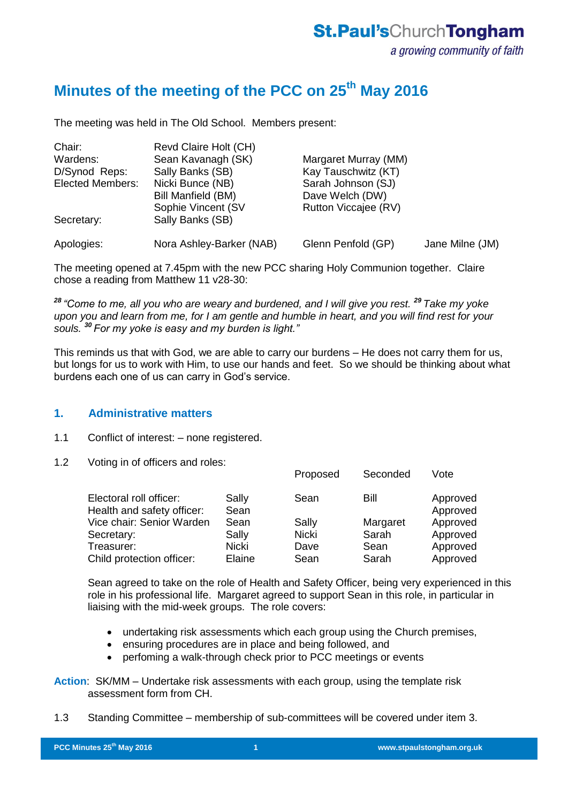# **Minutes of the meeting of the PCC on 25th May 2016**

The meeting was held in The Old School. Members present:

| Chair:                  | Revd Claire Holt (CH)    |                      |                 |
|-------------------------|--------------------------|----------------------|-----------------|
| Wardens:                | Sean Kavanagh (SK)       | Margaret Murray (MM) |                 |
| D/Synod Reps:           | Sally Banks (SB)         | Kay Tauschwitz (KT)  |                 |
| <b>Elected Members:</b> | Nicki Bunce (NB)         | Sarah Johnson (SJ)   |                 |
|                         | Bill Manfield (BM)       | Dave Welch (DW)      |                 |
|                         | Sophie Vincent (SV       | Rutton Viccajee (RV) |                 |
| Secretary:              | Sally Banks (SB)         |                      |                 |
| Apologies:              | Nora Ashley-Barker (NAB) | Glenn Penfold (GP)   | Jane Milne (JM) |

The meeting opened at 7.45pm with the new PCC sharing Holy Communion together. Claire chose a reading from Matthew 11 v28-30:

*<sup>28</sup> "Come to me, all you who are weary and burdened, and I will give you rest. <sup>29</sup> Take my yoke upon you and learn from me, for I am gentle and humble in heart, and you will find rest for your souls. <sup>30</sup> For my yoke is easy and my burden is light."*

This reminds us that with God, we are able to carry our burdens – He does not carry them for us, but longs for us to work with Him, to use our hands and feet. So we should be thinking about what burdens each one of us can carry in God's service.

# **1. Administrative matters**

- 1.1 Conflict of interest: none registered.
- 1.2 Voting in of officers and roles:

|                                                       |               | Proposed     | Seconded | Vote                 |
|-------------------------------------------------------|---------------|--------------|----------|----------------------|
| Electoral roll officer:<br>Health and safety officer: | Sally<br>Sean | Sean         | Bill     | Approved<br>Approved |
| Vice chair: Senior Warden                             | Sean          | Sally        | Margaret | Approved             |
| Secretary:                                            | Sally         | <b>Nicki</b> | Sarah    | Approved             |
| Treasurer:                                            | <b>Nicki</b>  | Dave         | Sean     | Approved             |
| Child protection officer:                             | Elaine        | Sean         | Sarah    | Approved             |

Sean agreed to take on the role of Health and Safety Officer, being very experienced in this role in his professional life. Margaret agreed to support Sean in this role, in particular in liaising with the mid-week groups. The role covers:

- undertaking risk assessments which each group using the Church premises,
- ensuring procedures are in place and being followed, and
- perfoming a walk-through check prior to PCC meetings or events

**Action**: SK/MM – Undertake risk assessments with each group, using the template risk assessment form from CH.

1.3 Standing Committee – membership of sub-committees will be covered under item 3.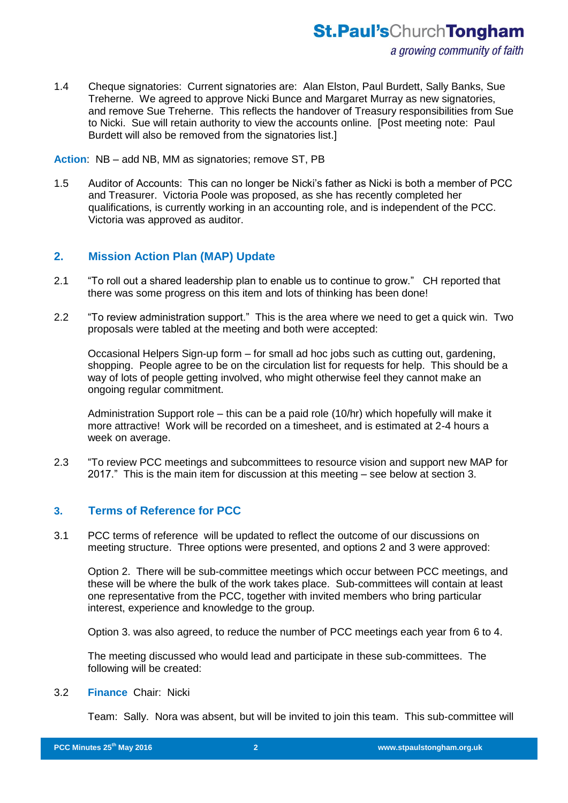1.4 Cheque signatories: Current signatories are: Alan Elston, Paul Burdett, Sally Banks, Sue Treherne. We agreed to approve Nicki Bunce and Margaret Murray as new signatories, and remove Sue Treherne. This reflects the handover of Treasury responsibilities from Sue to Nicki. Sue will retain authority to view the accounts online. [Post meeting note: Paul Burdett will also be removed from the signatories list.]

**Action**: NB – add NB, MM as signatories; remove ST, PB

1.5 Auditor of Accounts: This can no longer be Nicki's father as Nicki is both a member of PCC and Treasurer. Victoria Poole was proposed, as she has recently completed her qualifications, is currently working in an accounting role, and is independent of the PCC. Victoria was approved as auditor.

# **2. Mission Action Plan (MAP) Update**

- 2.1 "To roll out a shared leadership plan to enable us to continue to grow." CH reported that there was some progress on this item and lots of thinking has been done!
- 2.2 "To review administration support." This is the area where we need to get a quick win. Two proposals were tabled at the meeting and both were accepted:

Occasional Helpers Sign-up form – for small ad hoc jobs such as cutting out, gardening, shopping. People agree to be on the circulation list for requests for help. This should be a way of lots of people getting involved, who might otherwise feel they cannot make an ongoing regular commitment.

Administration Support role – this can be a paid role (10/hr) which hopefully will make it more attractive! Work will be recorded on a timesheet, and is estimated at 2-4 hours a week on average.

2.3 "To review PCC meetings and subcommittees to resource vision and support new MAP for 2017." This is the main item for discussion at this meeting – see below at section 3.

# **3. Terms of Reference for PCC**

3.1 PCC terms of reference will be updated to reflect the outcome of our discussions on meeting structure. Three options were presented, and options 2 and 3 were approved:

Option 2. There will be sub-committee meetings which occur between PCC meetings, and these will be where the bulk of the work takes place. Sub-committees will contain at least one representative from the PCC, together with invited members who bring particular interest, experience and knowledge to the group.

Option 3. was also agreed, to reduce the number of PCC meetings each year from 6 to 4.

The meeting discussed who would lead and participate in these sub-committees. The following will be created:

#### 3.2 **Finance** Chair: Nicki

Team: Sally. Nora was absent, but will be invited to join this team. This sub-committee will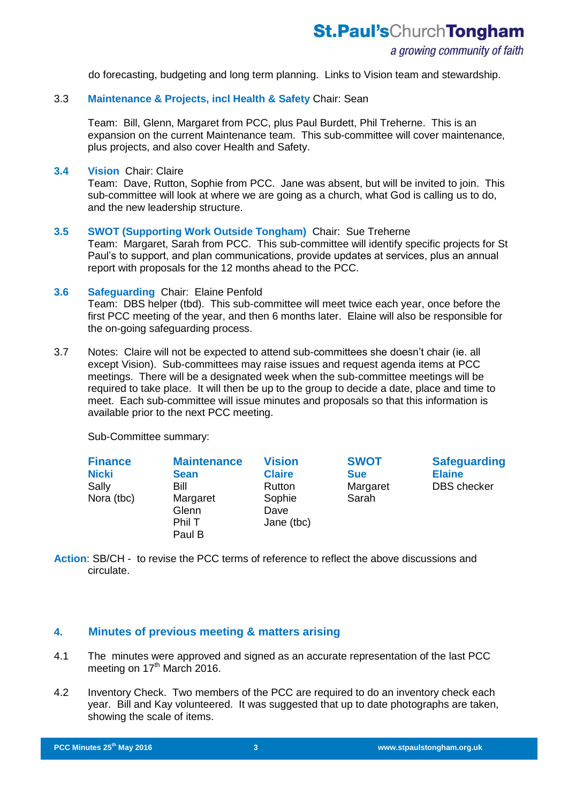do forecasting, budgeting and long term planning. Links to Vision team and stewardship.

#### 3.3 **Maintenance & Projects, incl Health & Safety** Chair: Sean

Team: Bill, Glenn, Margaret from PCC, plus Paul Burdett, Phil Treherne. This is an expansion on the current Maintenance team. This sub-committee will cover maintenance, plus projects, and also cover Health and Safety.

#### **3.4 Vision** Chair: Claire

Team: Dave, Rutton, Sophie from PCC. Jane was absent, but will be invited to join. This sub-committee will look at where we are going as a church, what God is calling us to do, and the new leadership structure.

#### **3.5 SWOT (Supporting Work Outside Tongham)** Chair: Sue Treherne

Team: Margaret, Sarah from PCC. This sub-committee will identify specific projects for St Paul's to support, and plan communications, provide updates at services, plus an annual report with proposals for the 12 months ahead to the PCC.

#### **3.6 Safeguarding** Chair: Elaine Penfold

Team: DBS helper (tbd). This sub-committee will meet twice each year, once before the first PCC meeting of the year, and then 6 months later. Elaine will also be responsible for the on-going safeguarding process.

3.7 Notes: Claire will not be expected to attend sub-committees she doesn't chair (ie. all except Vision). Sub-committees may raise issues and request agenda items at PCC meetings. There will be a designated week when the sub-committee meetings will be required to take place. It will then be up to the group to decide a date, place and time to meet. Each sub-committee will issue minutes and proposals so that this information is available prior to the next PCC meeting.

Sub-Committee summary:

| <b>Finance</b> | <b>Maintenance</b> | <b>Vision</b> | <b>SWOT</b> | <b>Safeguarding</b> |
|----------------|--------------------|---------------|-------------|---------------------|
| <b>Nicki</b>   | <b>Sean</b>        | <b>Claire</b> | <b>Sue</b>  | <b>Elaine</b>       |
| Sally          | Bill               | Rutton        | Margaret    | <b>DBS</b> checker  |
| Nora (tbc)     | Margaret           | Sophie        | Sarah       |                     |
|                | Glenn              | Dave          |             |                     |
|                | Phil T             | Jane (tbc)    |             |                     |
|                | Paul B             |               |             |                     |

**Action**: SB/CH - to revise the PCC terms of reference to reflect the above discussions and circulate.

## **4. Minutes of previous meeting & matters arising**

- 4.1 The minutes were approved and signed as an accurate representation of the last PCC meeting on 17<sup>th</sup> March 2016.
- 4.2 Inventory Check. Two members of the PCC are required to do an inventory check each year. Bill and Kay volunteered. It was suggested that up to date photographs are taken, showing the scale of items.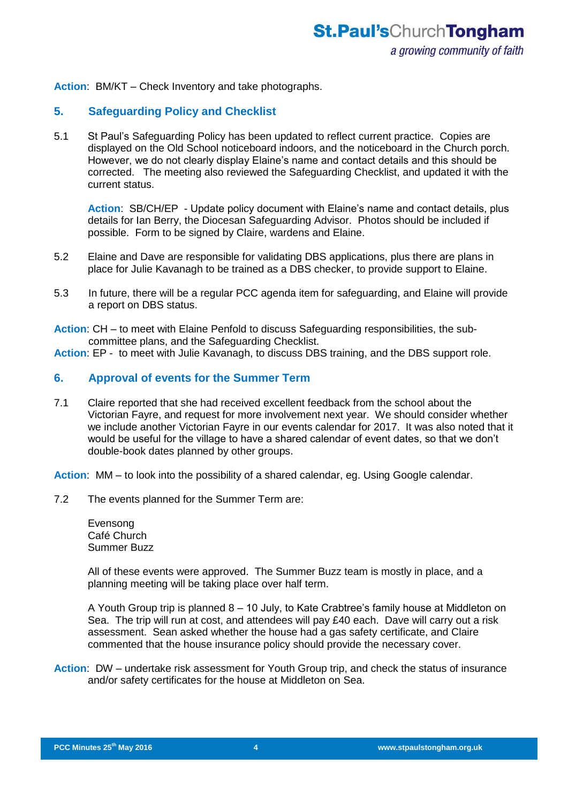**Action**: BM/KT – Check Inventory and take photographs.

# **5. Safeguarding Policy and Checklist**

5.1 St Paul's Safeguarding Policy has been updated to reflect current practice. Copies are displayed on the Old School noticeboard indoors, and the noticeboard in the Church porch. However, we do not clearly display Elaine's name and contact details and this should be corrected. The meeting also reviewed the Safeguarding Checklist, and updated it with the current status.

**Action**: SB/CH/EP - Update policy document with Elaine's name and contact details, plus details for Ian Berry, the Diocesan Safeguarding Advisor. Photos should be included if possible. Form to be signed by Claire, wardens and Elaine.

- 5.2 Elaine and Dave are responsible for validating DBS applications, plus there are plans in place for Julie Kavanagh to be trained as a DBS checker, to provide support to Elaine.
- 5.3 In future, there will be a regular PCC agenda item for safeguarding, and Elaine will provide a report on DBS status.
- **Action**: CH to meet with Elaine Penfold to discuss Safeguarding responsibilities, the subcommittee plans, and the Safeguarding Checklist.

**Action**: EP - to meet with Julie Kavanagh, to discuss DBS training, and the DBS support role.

## **6. Approval of events for the Summer Term**

7.1 Claire reported that she had received excellent feedback from the school about the Victorian Fayre, and request for more involvement next year. We should consider whether we include another Victorian Fayre in our events calendar for 2017. It was also noted that it would be useful for the village to have a shared calendar of event dates, so that we don't double-book dates planned by other groups.

**Action**: MM – to look into the possibility of a shared calendar, eg. Using Google calendar.

7.2 The events planned for the Summer Term are:

Evensong Café Church Summer Buzz

All of these events were approved. The Summer Buzz team is mostly in place, and a planning meeting will be taking place over half term.

A Youth Group trip is planned 8 – 10 July, to Kate Crabtree's family house at Middleton on Sea. The trip will run at cost, and attendees will pay £40 each. Dave will carry out a risk assessment. Sean asked whether the house had a gas safety certificate, and Claire commented that the house insurance policy should provide the necessary cover.

**Action**: DW – undertake risk assessment for Youth Group trip, and check the status of insurance and/or safety certificates for the house at Middleton on Sea.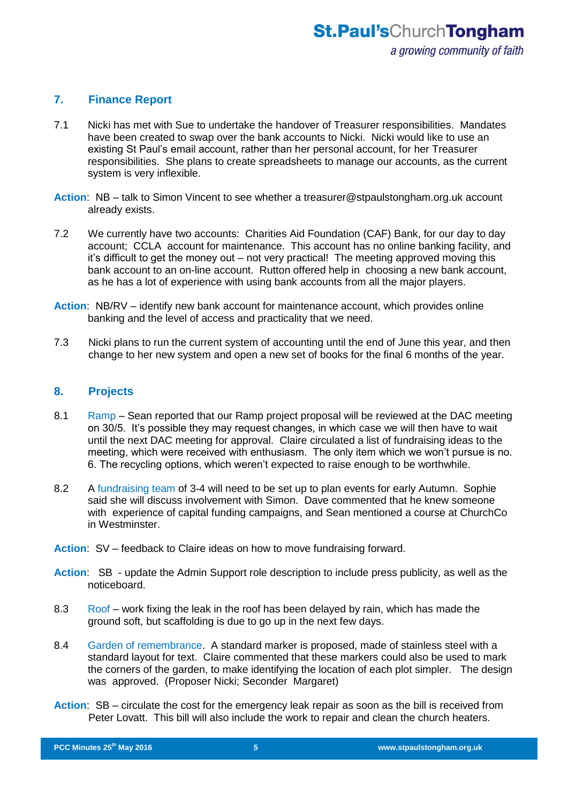# **7. Finance Report**

- 7.1 Nicki has met with Sue to undertake the handover of Treasurer responsibilities. Mandates have been created to swap over the bank accounts to Nicki. Nicki would like to use an existing St Paul's email account, rather than her personal account, for her Treasurer responsibilities. She plans to create spreadsheets to manage our accounts, as the current system is very inflexible.
- **Action**: NB talk to Simon Vincent to see whether a [treasurer@stpaulstongham.org.uk](mailto:treasurer@stpaulstongham.org.uk) account already exists.
- 7.2 We currently have two accounts: Charities Aid Foundation (CAF) Bank, for our day to day account; CCLA account for maintenance. This account has no online banking facility, and it's difficult to get the money out – not very practical! The meeting approved moving this bank account to an on-line account. Rutton offered help in choosing a new bank account, as he has a lot of experience with using bank accounts from all the major players.
- **Action**: NB/RV identify new bank account for maintenance account, which provides online banking and the level of access and practicality that we need.
- 7.3 Nicki plans to run the current system of accounting until the end of June this year, and then change to her new system and open a new set of books for the final 6 months of the year.

### **8. Projects**

- 8.1 Ramp Sean reported that our Ramp project proposal will be reviewed at the DAC meeting on 30/5. It's possible they may request changes, in which case we will then have to wait until the next DAC meeting for approval. Claire circulated a list of fundraising ideas to the meeting, which were received with enthusiasm. The only item which we won't pursue is no. 6. The recycling options, which weren't expected to raise enough to be worthwhile.
- 8.2 A fundraising team of 3-4 will need to be set up to plan events for early Autumn. Sophie said she will discuss involvement with Simon. Dave commented that he knew someone with experience of capital funding campaigns, and Sean mentioned a course at ChurchCo in Westminster.
- **Action**: SV feedback to Claire ideas on how to move fundraising forward.
- **Action**: SB update the Admin Support role description to include press publicity, as well as the noticeboard.
- 8.3 Roof work fixing the leak in the roof has been delayed by rain, which has made the ground soft, but scaffolding is due to go up in the next few days.
- 8.4 Garden of remembrance. A standard marker is proposed, made of stainless steel with a standard layout for text. Claire commented that these markers could also be used to mark the corners of the garden, to make identifying the location of each plot simpler. The design was approved. (Proposer Nicki; Seconder Margaret)
- **Action**: SB circulate the cost for the emergency leak repair as soon as the bill is received from Peter Lovatt. This bill will also include the work to repair and clean the church heaters.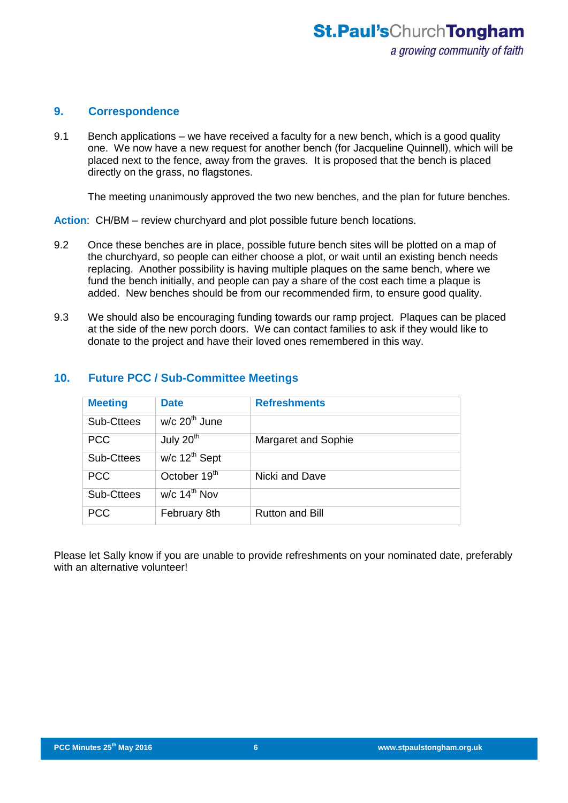## **9. Correspondence**

9.1 Bench applications – we have received a faculty for a new bench, which is a good quality one. We now have a new request for another bench (for Jacqueline Quinnell), which will be placed next to the fence, away from the graves. It is proposed that the bench is placed directly on the grass, no flagstones.

The meeting unanimously approved the two new benches, and the plan for future benches.

**Action**: CH/BM – review churchyard and plot possible future bench locations.

- 9.2 Once these benches are in place, possible future bench sites will be plotted on a map of the churchyard, so people can either choose a plot, or wait until an existing bench needs replacing. Another possibility is having multiple plaques on the same bench, where we fund the bench initially, and people can pay a share of the cost each time a plaque is added. New benches should be from our recommended firm, to ensure good quality.
- 9.3 We should also be encouraging funding towards our ramp project. Plaques can be placed at the side of the new porch doors. We can contact families to ask if they would like to donate to the project and have their loved ones remembered in this way.

| <b>Meeting</b> | <b>Date</b>                 | <b>Refreshments</b>    |
|----------------|-----------------------------|------------------------|
| Sub-Cttees     | w/c $20th$ June             |                        |
| <b>PCC</b>     | July $20th$                 | Margaret and Sophie    |
| Sub-Cttees     | $w/c$ 12 <sup>th</sup> Sept |                        |
| <b>PCC</b>     | October 19 <sup>th</sup>    | Nicki and Dave         |
| Sub-Cttees     | $W/C$ 14 <sup>th</sup> Nov  |                        |
| <b>PCC</b>     | February 8th                | <b>Rutton and Bill</b> |

# **10. Future PCC / Sub-Committee Meetings**

Please let Sally know if you are unable to provide refreshments on your nominated date, preferably with an alternative volunteer!